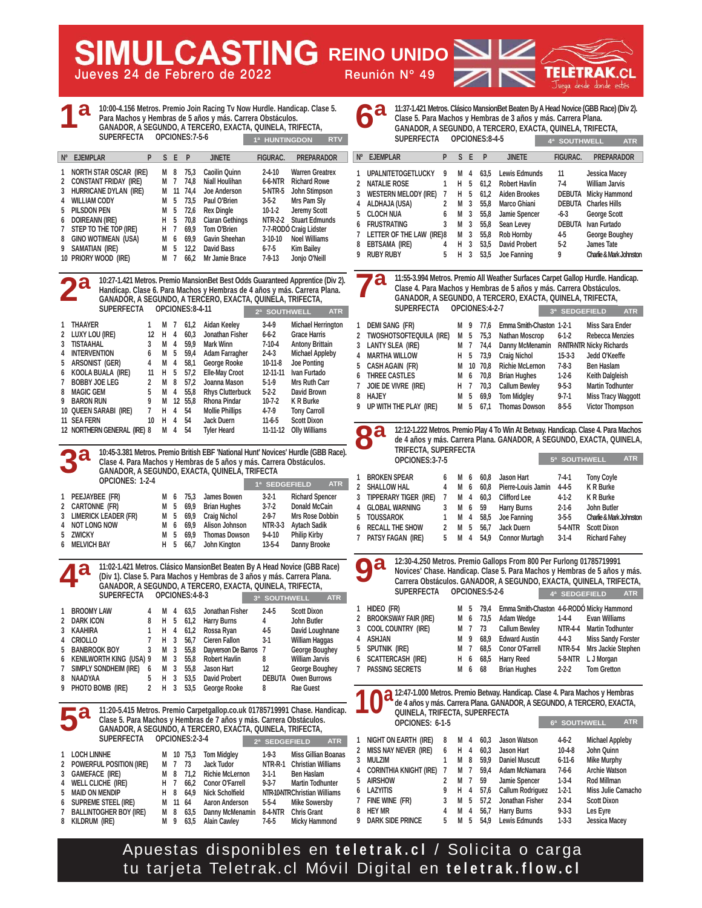**Jueves 24 de Febrero de 2022 Reunión Nº 49 MULCASTING REINO UNIDO** 

TELETRAK **CI** Juega desde donde estés

|                                           |                                                                                                                                                                | <b>SUPERFECTA</b>                                                                                                                      |                                                        |                                                          |                                                                   | OPCIONES:7-5-6                                                                      | 10:00-4.156 Metros. Premio Join Racing Tv Now Hurdle. Handicap. Clase 5.<br>Para Machos y Hembras de 5 años y más. Carrera Obstáculos.<br>GANADOR, A SEGUNDO, A TERCERO, EXACTA, QUINELA, TRIFECTA,               | 1ª HUNTINGDON                                                                                                                                     | <b>RTV</b>                                                                                                                                                                                                                                  |                                                         |                                                                                            | 11:37-1.421 Metros. 0<br>Clase 5. Para Macl<br>GANADOR, A SEG<br><b>SUPERFECTA</b>                                                                                         |                                              |
|-------------------------------------------|----------------------------------------------------------------------------------------------------------------------------------------------------------------|----------------------------------------------------------------------------------------------------------------------------------------|--------------------------------------------------------|----------------------------------------------------------|-------------------------------------------------------------------|-------------------------------------------------------------------------------------|-------------------------------------------------------------------------------------------------------------------------------------------------------------------------------------------------------------------|---------------------------------------------------------------------------------------------------------------------------------------------------|---------------------------------------------------------------------------------------------------------------------------------------------------------------------------------------------------------------------------------------------|---------------------------------------------------------|--------------------------------------------------------------------------------------------|----------------------------------------------------------------------------------------------------------------------------------------------------------------------------|----------------------------------------------|
| $N^{\circ}$                               | <b>EJEMPLAR</b>                                                                                                                                                |                                                                                                                                        | P                                                      | S.                                                       | E                                                                 | P                                                                                   | <b>JINETE</b>                                                                                                                                                                                                     | <b>FIGURAC.</b>                                                                                                                                   | <b>PREPARADOR</b>                                                                                                                                                                                                                           | $N^{\circ}$                                             | <b>EJEMPLAR</b>                                                                            |                                                                                                                                                                            | P                                            |
| 1<br>2<br>3<br>4<br>5<br>6<br>7<br>8<br>9 | <b>WILLIAM CODY</b><br>PILSDON PEN<br><b>DOIREANN (IRE)</b><br>SAMATIAN (IRE)                                                                                  | <b>NORTH STAR OSCAR (IRE)</b><br><b>CONSTANT FRIDAY (IRE)</b><br>HURRICANE DYLAN (IRE)<br>STEP TO THE TOP (IRE)<br>GINO WOTIMEAN (USA) |                                                        | M<br>M<br>M<br>M<br>M<br>н<br>н<br>М<br>M                | 8<br>7<br>11<br>5<br>5<br>5<br>7<br>6<br>5                        | 75,3<br>74,8<br>74,4<br>73,5<br>72,6<br>70,8<br>69,9<br>69,9<br>12,2                | Caoilin Quinn<br>Niall Houlihan<br><b>Joe Anderson</b><br>Paul O'Brien<br><b>Rex Dingle</b><br><b>Ciaran Gethings</b><br>Tom O'Brien<br>Gavin Sheehan<br>David Bass                                               | $2 - 4 - 10$<br>6-6-NTR<br>5-NTR-5<br>$3-5-2$<br>$10-1-2$<br><b>NTR-2-2</b><br>$3-10-10$<br>$6 - 7 - 5$                                           | <b>Warren Greatrex</b><br><b>Richard Rowe</b><br>John Stimpson<br>Mrs Pam Sly<br><b>Jeremy Scott</b><br><b>Stuart Edmunds</b><br>7-7-RODO Craig Lidster<br><b>Noel Williams</b><br><b>Kim Bailey</b>                                        | 1.<br>$\mathbf{2}$<br>3<br>4<br>5<br>7<br>8             | <b>NATALIE ROSE</b><br>ALDHAJA (USA)<br><b>CLOCH NUA</b><br>6 FRUSTRATING<br>EBTSAMA (IRE) | <b>UPALNITETOGETLUCKY</b><br><b>WESTERN MELODY (IRE)</b><br>LETTER OF THE LAW (IRE)8                                                                                       | 9<br>1<br>7<br>$\overline{2}$<br>6<br>3<br>4 |
|                                           |                                                                                                                                                                | 10 PRIORY WOOD (IRE)                                                                                                                   |                                                        | М                                                        | 7                                                                 | 66,2                                                                                | Mr Jamie Brace                                                                                                                                                                                                    | $7-9-13$                                                                                                                                          | Jonjo O'Neill                                                                                                                                                                                                                               | 9                                                       | <b>RUBY RUBY</b>                                                                           |                                                                                                                                                                            | 5                                            |
|                                           |                                                                                                                                                                | <b>SUPERFECTA</b>                                                                                                                      |                                                        |                                                          |                                                                   | OPCIONES:8-4-11                                                                     | Handicap. Clase 6. Para Machos y Hembras de 4 años y más. Carrera Plana.<br>GANADOR, A SEGUNDO, A TERCERO, EXACTA, QUINELA, TRIFECTA,                                                                             | 2ª SOUTHWELL                                                                                                                                      | 10:27-1.421 Metros. Premio MansionBet Best Odds Guaranteed Apprentice (Div 2).<br><b>ATR</b>                                                                                                                                                |                                                         |                                                                                            | 11:55-3.994 Metros.<br>Clase 4. Para Macl<br>GANADOR, A SEG<br><b>SUPERFECTA</b>                                                                                           |                                              |
| 1<br>2<br>3<br>4<br>5<br>6<br>7<br>8<br>9 | THAAYER<br>LUXY LOU (IRE)<br><b>TISTAAHAL</b><br>INTERVENTION<br>ARSONIST (GER)<br><b>BOBBY JOE LEG</b><br><b>MAGIC GEM</b><br><b>BARON RUN</b><br>11 SEA FERN | KOOLA BUALA (IRE)<br>10 QUEEN SARABI (IRE)                                                                                             | 1<br>12<br>3<br>6<br>4<br>11<br>2<br>5<br>9<br>7<br>10 | M 7<br>н<br>М<br>M<br>M<br>H.<br>M<br>M 4<br>M<br>н<br>н | 4<br>$\overline{4}$<br>- 5<br>$\frac{4}{3}$<br>5<br>- 8<br>4<br>4 | 61,2<br>60,3<br>59,9<br>59,4<br>58,1<br>57,2<br>57,2<br>55,8<br>12 55.8<br>54<br>54 | Aidan Keeley<br>Jonathan Fisher<br>Mark Winn<br>Adam Farragher<br>George Rooke<br><b>Elle-May Croot</b><br>Joanna Mason<br><b>Rhys Clutterbuck</b><br>Rhona Pindar<br><b>Mollie Phillips</b><br>Jack Duern        | 3-4-9<br>$6 - 6 - 2$<br>$7 - 10 - 4$<br>$2 - 4 - 3$<br>$10-11-8$<br>12-11-11<br>$5-1-9$<br>$5 - 2 - 2$<br>$10 - 7 - 2$<br>$4 - 7 - 9$<br>$11-6-5$ | <b>Michael Herrington</b><br><b>Grace Harris</b><br><b>Antony Brittain</b><br><b>Michael Appleby</b><br><b>Joe Ponting</b><br>Ivan Furtado<br>Mrs Ruth Carr<br><b>David Brown</b><br>K R Burke<br><b>Tony Carroll</b><br><b>Scott Dixon</b> | 1.<br>2<br>3<br>4<br>5<br>6<br>$\overline{7}$<br>8<br>9 | <b>HAJEY</b>                                                                               | DEMI SANG (FR)<br>TWOSHOTSOFTEQUILA (IRE)<br>LANTY SLEA (IRE)<br><b>MARTHA WILLOW</b><br>CASH AGAIN (FR)<br>THREE CASTLES<br>JOIE DE VIVRE (IRE)<br>UP WITH THE PLAY (IRE) |                                              |
|                                           | と                                                                                                                                                              | 12 NORTHERN GENERAL (IRE) 8                                                                                                            |                                                        | M                                                        | 4                                                                 | 54                                                                                  | <b>Tyler Heard</b><br>Clase 4. Para Machos y Hembras de 5 años y más. Carrera Obstáculos.<br>GANADOR, A SEGUNDO, EXACTA, QUINELA, TRIFECTA                                                                        |                                                                                                                                                   | 11-11-12 Olly Williams<br>10:45-3.381 Metros. Premio British EBF 'National Hunt' Novices' Hurdle (GBB Race).                                                                                                                                |                                                         | Qa                                                                                         | 12:12-1.222 Metros.<br>de 4 años y más. O<br>TRIFECTA, SUPER<br>OPCIONES: 3-7-5                                                                                            |                                              |
|                                           |                                                                                                                                                                | <b>OPCIONES: 1-2-4</b>                                                                                                                 |                                                        |                                                          |                                                                   |                                                                                     |                                                                                                                                                                                                                   | 1ª SEDGEFIELD                                                                                                                                     | <b>ATR</b>                                                                                                                                                                                                                                  | 1.                                                      | <b>BROKEN SPEAR</b>                                                                        |                                                                                                                                                                            | 6                                            |
| 1                                         |                                                                                                                                                                | PEEJAYBEE (FR)                                                                                                                         |                                                        | M 6                                                      |                                                                   | 75,3                                                                                | James Bowen                                                                                                                                                                                                       | $3 - 2 - 1$                                                                                                                                       | <b>Richard Spencer</b>                                                                                                                                                                                                                      | 2<br>3                                                  | SHALLOW HAL                                                                                | TIPPERARY TIGER (IRE)                                                                                                                                                      | 4<br>7                                       |
| 2                                         | CARTONNE (FR)                                                                                                                                                  |                                                                                                                                        |                                                        | М                                                        | 5                                                                 | 69,9                                                                                | <b>Brian Hughes</b>                                                                                                                                                                                               | $3 - 7 - 2$                                                                                                                                       | Donald McCain                                                                                                                                                                                                                               | 4                                                       |                                                                                            | <b>GLOBAL WARNING</b>                                                                                                                                                      | 3                                            |
| 3                                         | 4 NOT LONG NOW                                                                                                                                                 | LIMERICK LEADER (FR)                                                                                                                   |                                                        | M 5<br>M                                                 | - 6                                                               | 69,9<br>69,9                                                                        | <b>Craig Nichol</b><br><b>Alison Johnson</b>                                                                                                                                                                      | 2-9-7<br>NTR-3-3                                                                                                                                  | Mrs Rose Dobbin<br><b>Aytach Sadik</b>                                                                                                                                                                                                      | 5                                                       | <b>TOUSSAROK</b>                                                                           |                                                                                                                                                                            | 1                                            |
| 5                                         | <b>ZWICKY</b>                                                                                                                                                  |                                                                                                                                        |                                                        | М                                                        | 5                                                                 | 69,9                                                                                | <b>Thomas Dowson</b>                                                                                                                                                                                              | $9 - 4 - 10$                                                                                                                                      | <b>Philip Kirby</b>                                                                                                                                                                                                                         | 6<br>7                                                  |                                                                                            | <b>RECALL THE SHOW</b><br>PATSY FAGAN (IRE)                                                                                                                                | $\overline{2}$<br>5                          |
| 6                                         | <b>MELVICH BAY</b>                                                                                                                                             |                                                                                                                                        |                                                        | Н.                                                       | 5                                                                 | 66,7                                                                                | John Kington                                                                                                                                                                                                      | $13 - 5 - 4$                                                                                                                                      | Danny Brooke                                                                                                                                                                                                                                |                                                         |                                                                                            |                                                                                                                                                                            |                                              |
|                                           |                                                                                                                                                                | <b>SUPERFECTA</b>                                                                                                                      |                                                        |                                                          |                                                                   | OPCIONES:4-8-3                                                                      | 11:02-1.421 Metros. Clásico MansionBet Beaten By A Head Novice (GBB Race)<br>(Div 1). Clase 5. Para Machos y Hembras de 3 años y más. Carrera Plana.<br>GANADOR, A SEGUNDO, A TERCERO, EXACTA, QUINELA, TRIFECTA, | 3ª SOUTHWELL                                                                                                                                      | <b>ATR</b>                                                                                                                                                                                                                                  |                                                         |                                                                                            | 12:30-4.250 Metros<br>Novices' Chase. H<br>Carrera Obstáculo<br><b>SUPERFECTA</b>                                                                                          |                                              |
| 1                                         | <b>BROOMY LAW</b>                                                                                                                                              |                                                                                                                                        | 4                                                      | M                                                        | 4                                                                 | 63,5                                                                                | Jonathan Fisher                                                                                                                                                                                                   | $2 - 4 - 5$                                                                                                                                       | <b>Scott Dixon</b>                                                                                                                                                                                                                          |                                                         | 1 HIDEO (FR)                                                                               |                                                                                                                                                                            |                                              |
| 2                                         | <b>DARK ICON</b>                                                                                                                                               |                                                                                                                                        | 8                                                      | H                                                        | 5                                                                 | 61,2                                                                                | <b>Harry Burns</b>                                                                                                                                                                                                | 4                                                                                                                                                 | John Butler                                                                                                                                                                                                                                 | 2<br>3                                                  |                                                                                            | <b>BROOKSWAY FAIR (IRE)</b><br>COOL COUNTRY (IRE)                                                                                                                          |                                              |
| 3<br>4                                    | KAAHIRA<br><b>CRIOLLO</b>                                                                                                                                      |                                                                                                                                        | 1<br>7                                                 | н<br>H                                                   | 4<br>3                                                            | 61,2<br>56,7                                                                        | Rossa Ryan<br><b>Cieren Fallon</b>                                                                                                                                                                                | 4-5<br>$3-1$                                                                                                                                      | David Loughnane<br><b>William Haggas</b>                                                                                                                                                                                                    | 4                                                       | ASHJAN                                                                                     |                                                                                                                                                                            |                                              |
| 5                                         |                                                                                                                                                                | <b>BANBROOK BOY</b>                                                                                                                    | 3                                                      | M                                                        | 3                                                                 | 55,8                                                                                | Dayverson De Barros                                                                                                                                                                                               | 7                                                                                                                                                 | <b>George Boughey</b>                                                                                                                                                                                                                       | 5                                                       | SPUTNIK (IRE)                                                                              |                                                                                                                                                                            |                                              |
| 6<br>7                                    |                                                                                                                                                                | <b>KENILWORTH KING (USA) 9</b><br>SIMPLY SONDHEIM (IRE)                                                                                | 6                                                      | M<br>M                                                   | - 3<br>- 3                                                        | 55,8<br>55,8                                                                        | <b>Robert Havlin</b><br>Jason Hart                                                                                                                                                                                | 8<br>12                                                                                                                                           | <b>William Jarvis</b><br>George Boughey                                                                                                                                                                                                     | 6<br>7                                                  |                                                                                            | <b>SCATTERCASH (IRE)</b><br><b>PASSING SECRETS</b>                                                                                                                         |                                              |
| 8                                         | NAADYAA                                                                                                                                                        |                                                                                                                                        | 5                                                      | н                                                        | 3                                                                 | 53,5                                                                                | <b>David Probert</b>                                                                                                                                                                                              |                                                                                                                                                   | <b>DEBUTA Owen Burrows</b>                                                                                                                                                                                                                  |                                                         |                                                                                            |                                                                                                                                                                            |                                              |
| 9                                         |                                                                                                                                                                | PHOTO BOMB (IRE)                                                                                                                       | 2                                                      | H.                                                       | 3                                                                 | 53,5                                                                                | George Rooke                                                                                                                                                                                                      | 8                                                                                                                                                 | Rae Guest<br>11:20-5.415 Metros. Premio Carpetgallop.co.uk 01785719991 Chase. Handicap.                                                                                                                                                     |                                                         |                                                                                            | 12:47-1.000 Metros.<br>de 4 años y más. Ca<br><b>QUINELA, TRIFEC</b>                                                                                                       |                                              |
|                                           |                                                                                                                                                                | <b>SUPERFECTA</b>                                                                                                                      |                                                        |                                                          |                                                                   | OPCIONES:2-3-4                                                                      | Clase 5. Para Machos y Hembras de 7 años y más. Carrera Obstáculos.<br>GANADOR, A SEGUNDO, A TERCERO, EXACTA, QUINELA, TRIFECTA,                                                                                  | 2ª SEDGEFIELD                                                                                                                                     | <b>ATR</b>                                                                                                                                                                                                                                  | 1.                                                      |                                                                                            | OPCIONES: 6-1-5<br>NIGHT ON EARTH (IRE)                                                                                                                                    | 8                                            |
| 1                                         | <b>LOCH LINNHE</b>                                                                                                                                             |                                                                                                                                        |                                                        | M                                                        |                                                                   | 10 75,3                                                                             | <b>Tom Midgley</b>                                                                                                                                                                                                | $1-9-3$                                                                                                                                           | <b>Miss Gillian Boanas</b>                                                                                                                                                                                                                  | 2                                                       |                                                                                            | <b>MISS NAY NEVER (IRE)</b>                                                                                                                                                | 6                                            |
| 2                                         |                                                                                                                                                                | POWERFUL POSITION (IRE)                                                                                                                |                                                        | М                                                        | 7                                                                 | 73                                                                                  | <b>Jack Tudor</b>                                                                                                                                                                                                 | NTR-R-1                                                                                                                                           | <b>Christian Williams</b>                                                                                                                                                                                                                   | 3                                                       | MULZIM                                                                                     |                                                                                                                                                                            | 1                                            |
| 3                                         |                                                                                                                                                                | <b>GAMEFACE (IRE)</b>                                                                                                                  |                                                        | M                                                        | 8                                                                 | 71,2                                                                                | <b>Richie McLernon</b>                                                                                                                                                                                            | 3-1-1                                                                                                                                             | Ben Haslam                                                                                                                                                                                                                                  | 4<br>5                                                  | <b>AIRSHOW</b>                                                                             | <b>CORINTHIA KNIGHT (IRE)</b>                                                                                                                                              | 7<br>2                                       |
| 4<br>5                                    |                                                                                                                                                                | WELL CLICHE (IRE)<br><b>MAID ON MENDIP</b>                                                                                             |                                                        | н<br>H                                                   | 7<br>8                                                            | 66,2<br>64,9                                                                        | <b>Conor O'Farrell</b><br><b>Nick Scholfield</b>                                                                                                                                                                  | $9 - 3 - 7$                                                                                                                                       | <b>Martin Todhunter</b><br>NTR-10-NTRChristian Williams                                                                                                                                                                                     | 6                                                       | LAZYITIS                                                                                   |                                                                                                                                                                            | 9                                            |
| 6                                         |                                                                                                                                                                | SUPREME STEEL (IRE)                                                                                                                    |                                                        | M                                                        | 11                                                                | 64                                                                                  | <b>Aaron Anderson</b>                                                                                                                                                                                             | $5-5-4$                                                                                                                                           | <b>Mike Sowersby</b>                                                                                                                                                                                                                        | 7                                                       | FINE WINE (FR)                                                                             |                                                                                                                                                                            | 3                                            |
| 7                                         |                                                                                                                                                                | <b>BALLINTOGHER BOY (IRE)</b>                                                                                                          |                                                        | M 8                                                      |                                                                   | 63,5                                                                                | Danny McMenamin 8-4-NTR Chris Grant                                                                                                                                                                               |                                                                                                                                                   |                                                                                                                                                                                                                                             | 8                                                       | <b>HEY MR</b>                                                                              |                                                                                                                                                                            | 4                                            |

**7 BALLINTOGHER BOY (IRE) M 8 63,5 Danny McMenamin 8-4-NTR Chris Grant**  8 KILDRUM (IRE) **M 9 63,5 Alain Cawley** 7-6-5 Micky Hammond

Clásico MansionBet Beaten By A Head Novice (GBB Race) (Div 2). **Clase 5. Para Machos y Hembras de 3 años y más. Carrera Plana. GANADOR, A SEGUNDO, A TERCERO, EXACTA, QUINELA, TRIFECTA,** 

|             | <b>SUPERFECTA</b>           |   |   |   | OPCIONES:8-4-5 |                      | 4ª SOUTHWELL    | <b>ATR</b>              |
|-------------|-----------------------------|---|---|---|----------------|----------------------|-----------------|-------------------------|
| $N^{\circ}$ | <b>EJEMPLAR</b>             | P | S | F | P              | <b>JINETE</b>        | <b>FIGURAC.</b> | <b>PREPARADOR</b>       |
|             | <b>UPALNITETOGETLUCKY</b>   | 9 | М | 4 | 63.5           | Lewis Edmunds        | 11              | <b>Jessica Macey</b>    |
| 2           | <b>NATALIE ROSE</b>         |   | н | 5 | 61.2           | <b>Robert Havlin</b> | $7-4$           | <b>William Jarvis</b>   |
| 3           | <b>WESTERN MELODY (IRE)</b> | 7 | н | 5 | 61.2           | <b>Aiden Brookes</b> | <b>DEBUTA</b>   | <b>Micky Hammond</b>    |
| 4           | ALDHAJA (USA)               | 2 | М | 3 | 55.8           | Marco Ghiani         | <b>DEBUTA</b>   | <b>Charles Hills</b>    |
| 5.          | <b>CLOCH NUA</b>            | 6 | М | 3 | 55,8           | Jamie Spencer        | $-6-3$          | <b>George Scott</b>     |
| 6           | <b>FRUSTRATING</b>          | 3 | М | 3 | 55,8           | Sean Levey           | <b>DEBUTA</b>   | Ivan Furtado            |
|             | LETTER OF THE LAW (IRE)8    |   | М | 3 | 55,8           | <b>Rob Hornby</b>    | $4-5$           | George Boughey          |
| 8           | EBTSAMA (IRE)               | 4 | н | 3 | 53.5           | <b>David Probert</b> | $5-2$           | James Tate              |
|             | <b>RUBY RUBY</b>            | 5 | н | 3 | 53.5           | Joe Fanning          | 9               | Charlie & Mark Johnston |
|             |                             |   |   |   |                |                      |                 |                         |

Premio All Weather Surfaces Carpet Gallop Hurdle. Handicap. hos y Hembras de 5 años y más. Carrera Obstáculos. **GANADOR, A SEGUNDO, A TERCERO, EXACTA, QUINELA, TRIFECTA, SUPERFECTA OPCIONES:4-2-7 1 DEMI SANG (FR) M 9 77,6 Emma Smith-Chaston 1-2-1 Miss Sara Ender**  M 5 75,3 Nathan Moscrop 6-1-2 Rebecca Menzies **3 LANTY SLEA (IRE) M 7 74,4 Danny McMenamin R-NTR-NTR Nicky Richards 4 MARTHA WILLOW H 5 73,9 Craig Nichol 15-3-3 Jedd O'Keeffe 5 CASH AGAIN (FR) M 10 70,8 Richie McLernon 7-8-3 Ben Haslam**  M 6 70,8 Brian Hughes 1-2-6 Keith Dalgleish<br>**H 7 70,3 Callum Bewley 9-5-3** Martin Todhumte **7 70.3 Callum Bewley 9-5-3 Martin Todhunter** M 5 69,9 Tom Midgley 9-7-1 Miss Tracy Waggott M<sub>5</sub> 67.1 Thomas Dowson 8-5-5 Victor Thompson **3ª SEDGEFIELD ATR**

Premio Play 4 To Win At Betway. Handicap. Clase 4. Para Machos Carrera Plana, GANADOR, A SEGUNDO, EXACTA, QUINELA, **TRIFECTA, SUPERFECTA 5ª SOUTHWELL ATR**

| 1 BROKEN SPEAR                     |  |  |                               | 7-4-1       | <b>Tony Coyle</b>       |
|------------------------------------|--|--|-------------------------------|-------------|-------------------------|
| 2 SHALLOW HAL                      |  |  | 4 M 6 60,8 Pierre-Louis Jamin |             | 4-4-5 KR Burke          |
| 3 TIPPERARY TIGER (IRE) 7          |  |  | M 4 60.3 Clifford Lee         | $4 - 1 - 2$ | K R Burke               |
| 4 GLOBAL WARNING                   |  |  | 3 M 6 59 Harry Burns          | $2 - 1 - 6$ | John Butler             |
| 5 TOUSSAROK 1 M 4 58,5 Joe Fanning |  |  |                               | $3-5-5$     | Charlie & Mark Johnston |
| 6 RECALL THE SHOW                  |  |  | 2 M 5 56.7 Jack Duern         |             | 5-4-NTR Scott Dixon     |
| 7 PATSY FAGAN (IRE)                |  |  | 5 M 4 54,9 Connor Murtagh     |             | 3-1-4 Richard Fahey     |
|                                    |  |  |                               |             |                         |

**12:30-4.250 Metros. Premio Gallops From 800 Per Furlong 01785719991**  landicap. Clase 5. Para Machos y Hembras de 5 años y más. **Carrera Obstáculos. GANADOR, A SEGUNDO, EXACTA, QUINELA, TRIFECTA, SUPERFECTA OPCIONES:5-2-6 4ª SEDGEFIELD ATR**

| 1 HIDEO (FR)           |     |  | M 5 79,4 Emma Smith-Chaston 4-6-RODÓ Micky Hammond |             |                            |
|------------------------|-----|--|----------------------------------------------------|-------------|----------------------------|
| 2 BROOKSWAY FAIR (IRE) |     |  | M 6 73,5 Adam Wedge                                | $1-4-4$     | Evan Williams              |
| 3 COOL COUNTRY (IRE)   |     |  | M 7 73 Callum Bewley                               |             | NTR-4-4 Martin Todhunter   |
| 4 ASHJAN               |     |  | M 9 68.9 Edward Austin                             | $4 - 4 - 3$ | <b>Miss Sandy Forster</b>  |
| 5 SPUTNIK (IRE)        | M 7 |  | 68,5 Conor O'Farrell                               |             | NTR-5-4 Mrs Jackie Stephen |
| 6 SCATTERCASH (IRE)    |     |  | H 6 68,5 Harry Reed                                |             | 5-8-NTR L J Morgan         |
| 7 PASSING SECRETS      |     |  | M 6 68 Brian Hughes                                | $2 - 2 - 2$ | <b>Tom Gretton</b>         |
|                        |     |  |                                                    |             |                            |

**12:47-1.000 Metros. Premio Betway. Handicap. Clase 4. Para Machos y Hembras de 4 años y más. Carrera Plana. GANADOR, A SEGUNDO, A TERCERO, EXACTA, QUINELA, TRIFECTA, SUPERFECTA 6ª SOUTHWELL ATR**

|        | UPUIUNES, 0-1-3                                     |        |         |         |              |                            | 0 - OUU INVEEL          | .                                    |
|--------|-----------------------------------------------------|--------|---------|---------|--------------|----------------------------|-------------------------|--------------------------------------|
| 1<br>2 | NIGHT ON EARTH (IRE)<br><b>MISS NAY NEVER (IRE)</b> | 8<br>6 | м<br>H. | -4<br>4 | 60.3<br>60.3 | Jason Watson<br>Jason Hart | $4 - 6 - 2$<br>$10-4-8$ | <b>Michael Appleby</b><br>John Quinn |
|        | MULZIM                                              |        | м       | 8       | 59.9         | <b>Daniel Muscutt</b>      | $6 - 11 - 6$            | <b>Mike Murphy</b>                   |
| 4      | <b>CORINTHIA KNIGHT (IRE)</b>                       | 7      | M 7     |         | 59.4         | Adam McNamara              | $7-6-6$                 | <b>Archie Watson</b>                 |
| 5.     | <b>AIRSHOW</b>                                      | 2      | M 7     |         | 59           | Jamie Spencer              | $1-3-4$                 | Rod Millman                          |
| 6      | <b>LAZYITIS</b>                                     | 9      | H 4     |         | 57.6         | <b>Callum Rodriguez</b>    | $1-2-1$                 | Miss Julie Camacho                   |
| 7      | FINE WINE (FR)                                      | 3      | M 5     |         | 57.2         | Jonathan Fisher            | $2 - 3 - 4$             | <b>Scott Dixon</b>                   |
| 8      | <b>HEY MR</b>                                       | 4      | M 4     |         | 56,7         | <b>Harry Burns</b>         | $9 - 3 - 3$             | Les Eyre                             |
|        | <b>DARK SIDE PRINCE</b>                             | 5      | M       | 5       | 54.9         | Lewis Edmunds              | $1 - 3 - 3$             | <b>Jessica Macey</b>                 |
|        |                                                     |        |         |         |              |                            |                         |                                      |

Apuestas disponibles en **teletrak.cl** / Solicita o carga tu tarjeta Teletrak.cl Móvil Digital en **teletrak.flow.cl**